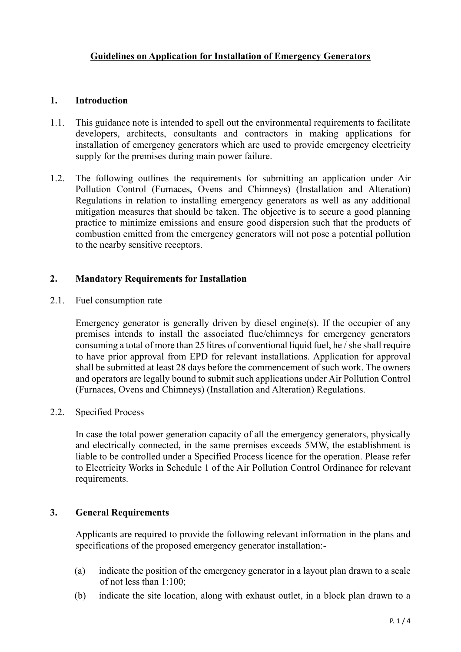## **1. Introduction**

- 1.1. This guidance note is intended to spell out the environmental requirements to facilitate developers, architects, consultants and contractors in making applications for installation of emergency generators which are used to provide emergency electricity supply for the premises during main power failure.
- 1.2. The following outlines the requirements for submitting an application under Air Pollution Control (Furnaces, Ovens and Chimneys) (Installation and Alteration) Regulations in relation to installing emergency generators as well as any additional mitigation measures that should be taken. The objective is to secure a good planning practice to minimize emissions and ensure good dispersion such that the products of combustion emitted from the emergency generators will not pose a potential pollution to the nearby sensitive receptors.

#### **2. Mandatory Requirements for Installation**

2.1. Fuel consumption rate

Emergency generator is generally driven by diesel engine(s). If the occupier of any premises intends to install the associated flue/chimneys for emergency generators consuming a total of more than 25 litres of conventional liquid fuel, he / she shall require to have prior approval from EPD for relevant installations. Application for approval shall be submitted at least 28 days before the commencement of such work. The owners and operators are legally bound to submit such applications under Air Pollution Control (Furnaces, Ovens and Chimneys) (Installation and Alteration) Regulations.

2.2. Specified Process

In case the total power generation capacity of all the emergency generators, physically and electrically connected, in the same premises exceeds 5MW, the establishment is liable to be controlled under a Specified Process licence for the operation. Please refer to Electricity Works in Schedule 1 of the Air Pollution Control Ordinance for relevant requirements.

# **3. General Requirements**

Applicants are required to provide the following relevant information in the plans and specifications of the proposed emergency generator installation:-

- (a) indicate the position of the emergency generator in a layout plan drawn to a scale of not less than 1:100;
- (b) indicate the site location, along with exhaust outlet, in a block plan drawn to a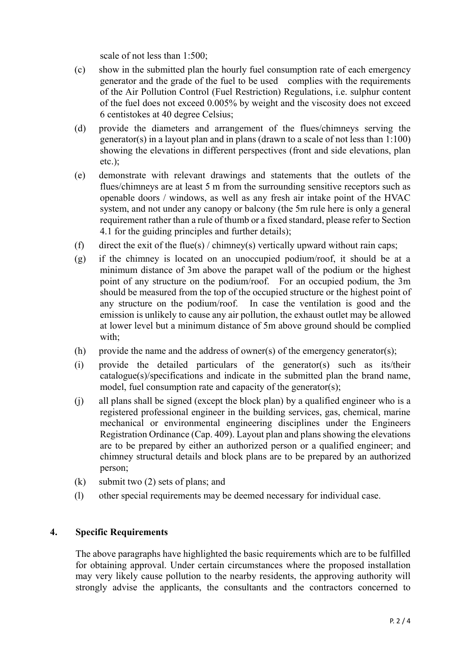scale of not less than 1:500;

- (c) show in the submitted plan the hourly fuel consumption rate of each emergency generator and the grade of the fuel to be used complies with the requirements of the Air Pollution Control (Fuel Restriction) Regulations, i.e. sulphur content of the fuel does not exceed 0.005% by weight and the viscosity does not exceed 6 centistokes at 40 degree Celsius;
- (d) provide the diameters and arrangement of the flues/chimneys serving the generator(s) in a layout plan and in plans (drawn to a scale of not less than 1:100) showing the elevations in different perspectives (front and side elevations, plan etc.);
- (e) demonstrate with relevant drawings and statements that the outlets of the flues/chimneys are at least 5 m from the surrounding sensitive receptors such as openable doors / windows, as well as any fresh air intake point of the HVAC system, and not under any canopy or balcony (the 5m rule here is only a general requirement rather than a rule of thumb or a fixed standard, please refer to Section 4.1 for the guiding principles and further details);
- (f) direct the exit of the flue(s) / chimney(s) vertically upward without rain caps;
- (g) if the chimney is located on an unoccupied podium/roof, it should be at a minimum distance of 3m above the parapet wall of the podium or the highest point of any structure on the podium/roof. For an occupied podium, the 3m should be measured from the top of the occupied structure or the highest point of any structure on the podium/roof. In case the ventilation is good and the emission is unlikely to cause any air pollution, the exhaust outlet may be allowed at lower level but a minimum distance of 5m above ground should be complied with:
- (h) provide the name and the address of owner(s) of the emergency generator(s);
- (i) provide the detailed particulars of the generator(s) such as its/their catalogue(s)/specifications and indicate in the submitted plan the brand name, model, fuel consumption rate and capacity of the generator(s);
- (j) all plans shall be signed (except the block plan) by a qualified engineer who is a registered professional engineer in the building services, gas, chemical, marine mechanical or environmental engineering disciplines under the Engineers Registration Ordinance (Cap. 409). Layout plan and plans showing the elevations are to be prepared by either an authorized person or a qualified engineer; and chimney structural details and block plans are to be prepared by an authorized person;
- (k) submit two (2) sets of plans; and
- (l) other special requirements may be deemed necessary for individual case.

#### **4. Specific Requirements**

The above paragraphs have highlighted the basic requirements which are to be fulfilled for obtaining approval. Under certain circumstances where the proposed installation may very likely cause pollution to the nearby residents, the approving authority will strongly advise the applicants, the consultants and the contractors concerned to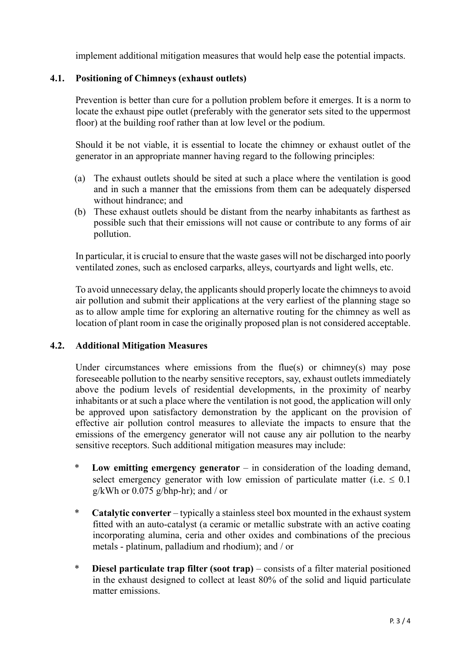implement additional mitigation measures that would help ease the potential impacts.

# **4.1. Positioning of Chimneys (exhaust outlets)**

Prevention is better than cure for a pollution problem before it emerges. It is a norm to locate the exhaust pipe outlet (preferably with the generator sets sited to the uppermost floor) at the building roof rather than at low level or the podium.

Should it be not viable, it is essential to locate the chimney or exhaust outlet of the generator in an appropriate manner having regard to the following principles:

- (a) The exhaust outlets should be sited at such a place where the ventilation is good and in such a manner that the emissions from them can be adequately dispersed without hindrance; and
- (b) These exhaust outlets should be distant from the nearby inhabitants as farthest as possible such that their emissions will not cause or contribute to any forms of air pollution.

In particular, it is crucial to ensure that the waste gases will not be discharged into poorly ventilated zones, such as enclosed carparks, alleys, courtyards and light wells, etc.

To avoid unnecessary delay, the applicants should properly locate the chimneys to avoid air pollution and submit their applications at the very earliest of the planning stage so as to allow ample time for exploring an alternative routing for the chimney as well as location of plant room in case the originally proposed plan is not considered acceptable.

# **4.2. Additional Mitigation Measures**

Under circumstances where emissions from the flue(s) or chimney(s) may pose foreseeable pollution to the nearby sensitive receptors, say, exhaust outlets immediately above the podium levels of residential developments, in the proximity of nearby inhabitants or at such a place where the ventilation is not good, the application will only be approved upon satisfactory demonstration by the applicant on the provision of effective air pollution control measures to alleviate the impacts to ensure that the emissions of the emergency generator will not cause any air pollution to the nearby sensitive receptors. Such additional mitigation measures may include:

- \* **Low emitting emergency generator** in consideration of the loading demand, select emergency generator with low emission of particulate matter (i.e.  $\leq 0.1$ ) g/kWh or  $0.075$  g/bhp-hr); and / or
- \* **Catalytic converter** typically a stainless steel box mounted in the exhaust system fitted with an auto-catalyst (a ceramic or metallic substrate with an active coating incorporating alumina, ceria and other oxides and combinations of the precious metals - platinum, palladium and rhodium); and / or
- \* **Diesel particulate trap filter (soot trap)** consists of a filter material positioned in the exhaust designed to collect at least 80% of the solid and liquid particulate matter emissions.